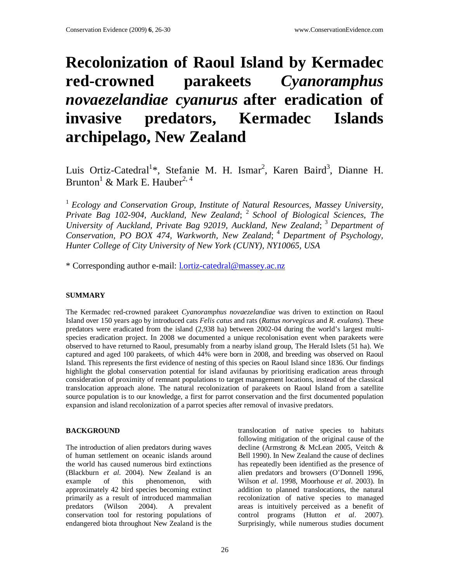# **Recolonization of Raoul Island by Kermadec red-crowned parakeets** *Cyanoramphus novaezelandiae cyanurus* **after eradication of invasive predators, Kermadec Islands archipelago, New Zealand**

Luis Ortiz-Catedral<sup>1</sup>\*, Stefanie M. H. Ismar<sup>2</sup>, Karen Baird<sup>3</sup>, Dianne H. Brunton $^1$  & Mark E. Hauber<sup>2, 4</sup>

<sup>1</sup> Ecology and Conservation Group, Institute of Natural Resources, Massey University, *Private Bag 102-904, Auckland, New Zealand*; <sup>2</sup>*School of Biological Sciences, The University of Auckland, Private Bag 92019, Auckland, New Zealand*; <sup>3</sup>*Department of Conservation, PO BOX 474, Warkworth, New Zealand*; <sup>4</sup>*Department of Psychology, Hunter College of City University of New York (CUNY), NY10065, USA*

\* Corresponding author e-mail: l.ortiz-catedral@massey.ac.nz

# **SUMMARY**

The Kermadec red-crowned parakeet *Cyanoramphus novaezelandiae* was driven to extinction on Raoul Island over 150 years ago by introduced cats *Felis catus* and rats (*Rattus norvegicus* and *R. exulans*). These predators were eradicated from the island (2,938 ha) between 2002-04 during the world's largest multispecies eradication project. In 2008 we documented a unique recolonisation event when parakeets were observed to have returned to Raoul, presumably from a nearby island group, The Herald Islets (51 ha). We captured and aged 100 parakeets, of which 44% were born in 2008, and breeding was observed on Raoul Island. This represents the first evidence of nesting of this species on Raoul Island since 1836. Our findings highlight the global conservation potential for island avifaunas by prioritising eradication areas through consideration of proximity of remnant populations to target management locations, instead of the classical translocation approach alone. The natural recolonization of parakeets on Raoul Island from a satellite source population is to our knowledge, a first for parrot conservation and the first documented population expansion and island recolonization of a parrot species after removal of invasive predators.

## **BACKGROUND**

The introduction of alien predators during waves of human settlement on oceanic islands around the world has caused numerous bird extinctions (Blackburn *et al*. 2004). New Zealand is an example of this phenomenon, with approximately 42 bird species becoming extinct primarily as a result of introduced mammalian predators (Wilson 2004). A prevalent conservation tool for restoring populations of endangered biota throughout New Zealand is the

translocation of native species to habitats following mitigation of the original cause of the decline (Armstrong & McLean 2005, Veitch & Bell 1990). In New Zealand the cause of declines has repeatedly been identified as the presence of alien predators and browsers (O'Donnell 1996, Wilson *et al*. 1998, Moorhouse *et al*. 2003). In addition to planned translocations, the natural recolonization of native species to managed areas is intuitively perceived as a benefit of control programs (Hutton *et al*. 2007). Surprisingly, while numerous studies document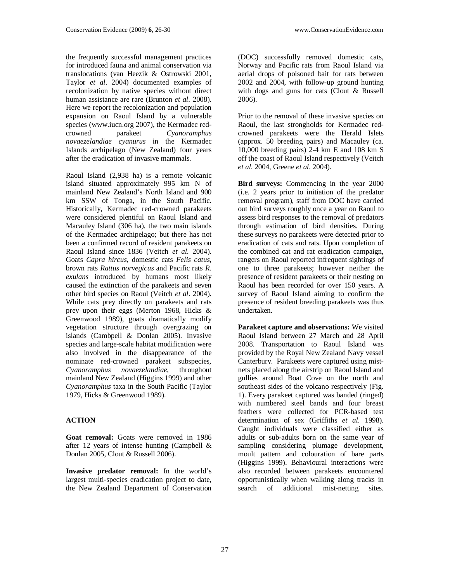the frequently successful management practices for introduced fauna and animal conservation via translocations (van Heezik & Ostrowski 2001, Taylor *et al*. 2004) documented examples of recolonization by native species without direct human assistance are rare (Brunton *et al*. 2008). Here we report the recolonization and population expansion on Raoul Island by a vulnerable species (www.iucn.org 2007), the Kermadec red-<br>crowned parakeet Cyanoramphus crowned parakeet *Cyanoramphus novaezelandiae cyanurus* in the Kermadec Islands archipelago (New Zealand) four years after the eradication of invasive mammals.

Raoul Island (2,938 ha) is a remote volcanic island situated approximately 995 km N of mainland New Zealand's North Island and 900 km SSW of Tonga, in the South Pacific. Historically, Kermadec red-crowned parakeets were considered plentiful on Raoul Island and Macauley Island (306 ha), the two main islands of the Kermadec archipelago; but there has not been a confirmed record of resident parakeets on Raoul Island since 1836 (Veitch *et al*. 2004). Goats *Capra hircus*, domestic cats *Felis catus*, brown rats *Rattus norvegicus* and Pacific rats *R. exulans* introduced by humans most likely caused the extinction of the parakeets and seven other bird species on Raoul (Veitch *et al*. 2004). While cats prey directly on parakeets and rats prey upon their eggs (Merton 1968, Hicks & Greenwood 1989), goats dramatically modify vegetation structure through overgrazing on islands (Cambpell & Donlan 2005). Invasive species and large-scale habitat modification were also involved in the disappearance of the nominate red-crowned parakeet subspecies, *Cyanoramphus novaezelandiae*, throughout mainland New Zealand (Higgins 1999) and other *Cyanoramphus* taxa in the South Pacific (Taylor 1979, Hicks & Greenwood 1989).

# **ACTION**

**Goat removal:** Goats were removed in 1986 after 12 years of intense hunting (Campbell & Donlan 2005, Clout & Russell 2006).

**Invasive predator removal:** In the world's largest multi-species eradication project to date, the New Zealand Department of Conservation

(DOC) successfully removed domestic cats, Norway and Pacific rats from Raoul Island via aerial drops of poisoned bait for rats between 2002 and 2004, with follow-up ground hunting with dogs and guns for cats (Clout & Russell 2006).

Prior to the removal of these invasive species on Raoul, the last strongholds for Kermadec redcrowned parakeets were the Herald Islets (approx. 50 breeding pairs) and Macauley (ca. 10,000 breeding pairs) 2-4 km E and 108 km S off the coast of Raoul Island respectively (Veitch *et al*. 2004, Greene *et al*. 2004).

**Bird surveys:** Commencing in the year 2000 (i.e. 2 years prior to initiation of the predator removal program), staff from DOC have carried out bird surveys roughly once a year on Raoul to assess bird responses to the removal of predators through estimation of bird densities. During these surveys no parakeets were detected prior to eradication of cats and rats. Upon completion of the combined cat and rat eradication campaign, rangers on Raoul reported infrequent sightings of one to three parakeets; however neither the presence of resident parakeets or their nesting on Raoul has been recorded for over 150 years. A survey of Raoul Island aiming to confirm the presence of resident breeding parakeets was thus undertaken.

**Parakeet capture and observations:** We visited Raoul Island between 27 March and 28 April 2008. Transportation to Raoul Island was provided by the Royal New Zealand Navy vessel Canterbury. Parakeets were captured using mistnets placed along the airstrip on Raoul Island and gullies around Boat Cove on the north and southeast sides of the volcano respectively (Fig. 1). Every parakeet captured was banded (ringed) with numbered steel bands and four breast feathers were collected for PCR-based test determination of sex (Griffiths *et al*. 1998). Caught individuals were classified either as adults or sub-adults born on the same year of sampling considering plumage development, moult pattern and colouration of bare parts (Higgins 1999). Behavioural interactions were also recorded between parakeets encountered opportunistically when walking along tracks in search of additional mist-netting sites.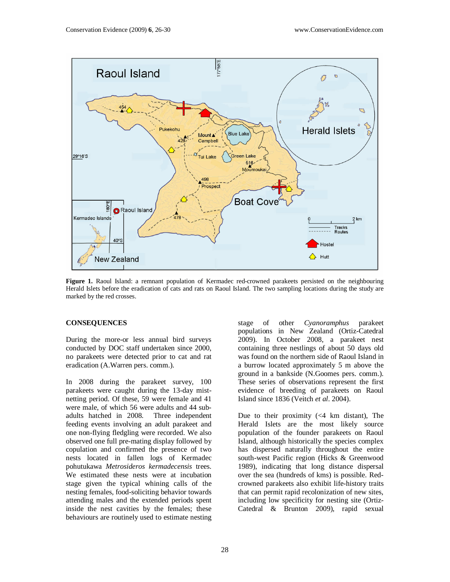

**Figure 1.** Raoul Island: a remnant population of Kermadec red-crowned parakeets persisted on the neighbouring Herald Islets before the eradication of cats and rats on Raoul Island. The two sampling locations during the study are marked by the red crosses.

#### **CONSEQUENCES**

During the more-or less annual bird surveys conducted by DOC staff undertaken since 2000, no parakeets were detected prior to cat and rat eradication (A.Warren pers. comm.).

In 2008 during the parakeet survey, 100 parakeets were caught during the 13-day mistnetting period. Of these, 59 were female and 41 were male, of which 56 were adults and 44 subadults hatched in 2008. Three independent feeding events involving an adult parakeet and one non-flying fledgling were recorded. We also observed one full pre-mating display followed by copulation and confirmed the presence of two nests located in fallen logs of Kermadec pohutukawa *Metrosideros kermadecensis* trees. We estimated these nests were at incubation stage given the typical whining calls of the nesting females, food-soliciting behavior towards attending males and the extended periods spent inside the nest cavities by the females; these behaviours are routinely used to estimate nesting

stage of other *Cyanoramphus* parakeet populations in New Zealand (Ortiz-Catedral 2009). In October 2008, a parakeet nest containing three nestlings of about 50 days old was found on the northern side of Raoul Island in a burrow located approximately 5 m above the ground in a bankside (N.Goomes pers. comm.). These series of observations represent the first evidence of breeding of parakeets on Raoul Island since 1836 (Veitch *et al*. 2004).

Due to their proximity  $( $4 \text{ km}$  distant)$ , The Herald Islets are the most likely source population of the founder parakeets on Raoul Island, although historically the species complex has dispersed naturally throughout the entire south-west Pacific region (Hicks & Greenwood 1989), indicating that long distance dispersal over the sea (hundreds of kms) is possible. Redcrowned parakeets also exhibit life-history traits that can permit rapid recolonization of new sites, including low specificity for nesting site (Ortiz-Catedral & Brunton 2009), rapid sexual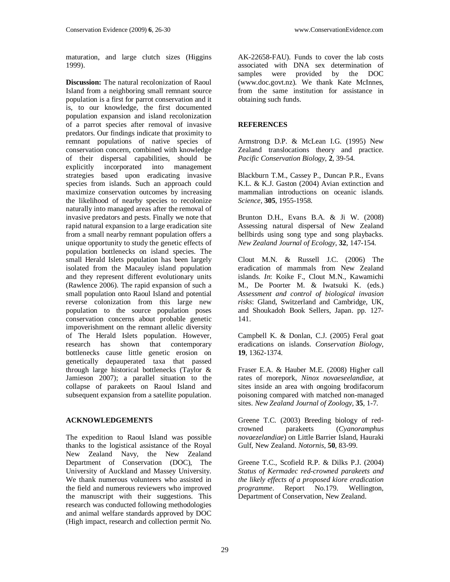maturation, and large clutch sizes (Higgins 1999).

**Discussion:** The natural recolonization of Raoul Island from a neighboring small remnant source population is a first for parrot conservation and it is, to our knowledge, the first documented population expansion and island recolonization of a parrot species after removal of invasive predators. Our findings indicate that proximity to remnant populations of native species of conservation concern, combined with knowledge of their dispersal capabilities, should be explicitly incorporated into management strategies based upon eradicating invasive species from islands. Such an approach could maximize conservation outcomes by increasing the likelihood of nearby species to recolonize naturally into managed areas after the removal of invasive predators and pests. Finally we note that rapid natural expansion to a large eradication site from a small nearby remnant population offers a unique opportunity to study the genetic effects of population bottlenecks on island species. The small Herald Islets population has been largely isolated from the Macauley island population and they represent different evolutionary units (Rawlence 2006). The rapid expansion of such a small population onto Raoul Island and potential reverse colonization from this large new population to the source population poses conservation concerns about probable genetic impoverishment on the remnant allelic diversity of The Herald Islets population. However, research has shown that contemporary bottlenecks cause little genetic erosion on genetically depauperated taxa that passed through large historical bottlenecks (Taylor & Jamieson 2007); a parallel situation to the collapse of parakeets on Raoul Island and subsequent expansion from a satellite population.

## **ACKNOWLEDGEMENTS**

The expedition to Raoul Island was possible thanks to the logistical assistance of the Royal New Zealand Navy, the New Zealand Department of Conservation (DOC), The University of Auckland and Massey University. We thank numerous volunteers who assisted in the field and numerous reviewers who improved the manuscript with their suggestions. This research was conducted following methodologies and animal welfare standards approved by DOC (High impact, research and collection permit No.

AK-22658-FAU). Funds to cover the lab costs associated with DNA sex determination of samples were provided by the DOC (www.doc.govt.nz). We thank Kate McInnes, from the same institution for assistance in obtaining such funds.

## **REFERENCES**

Armstrong D.P. & McLean I.G. (1995) New Zealand translocations theory and practice. *Pacific Conservation Biology*, **2**, 39-54.

Blackburn T.M., Cassey P., Duncan P.R., Evans K.L. & K.J. Gaston (2004) Avian extinction and mammalian introductions on oceanic islands. *Science*, **305**, 1955-1958.

Brunton D.H., Evans B.A. & Ji W. (2008) Assessing natural dispersal of New Zealand bellbirds using song type and song playbacks. *New Zealand Journal of Ecology*, **32**, 147-154.

Clout M.N. & Russell J.C. (2006) The eradication of mammals from New Zealand islands. *In*: Koike F., Clout M.N., Kawamichi M., De Poorter M. & Iwatsuki K. (eds.) *Assessment and control of biological invasion risks*: Gland, Switzerland and Cambridge, UK, and Shoukadoh Book Sellers, Japan. pp. 127- 141.

Campbell K. & Donlan, C.J. (2005) Feral goat eradications on islands. *Conservation Biology*, **19**, 1362-1374.

Fraser E.A. & Hauber M.E. (2008) Higher call rates of morepork, *Ninox novaeseelandiae*, at sites inside an area with ongoing brodifacorum poisoning compared with matched non-managed sites. *New Zealand Journal of Zoology*, **35**, 1-7.

Greene T.C. (2003) Breeding biology of redcrowned parakeets (*Cyanoramphus novaezelandiae*) on Little Barrier Island, Hauraki Gulf, New Zealand. *Notornis*, **50**, 83-99.

Greene T.C., Scofield R.P. & Dilks P.J. (2004) *Status of Kermadec red-crowned parakeets and the likely effects of a proposed kiore eradication programme*. Report No.179. Wellington, Department of Conservation, New Zealand.